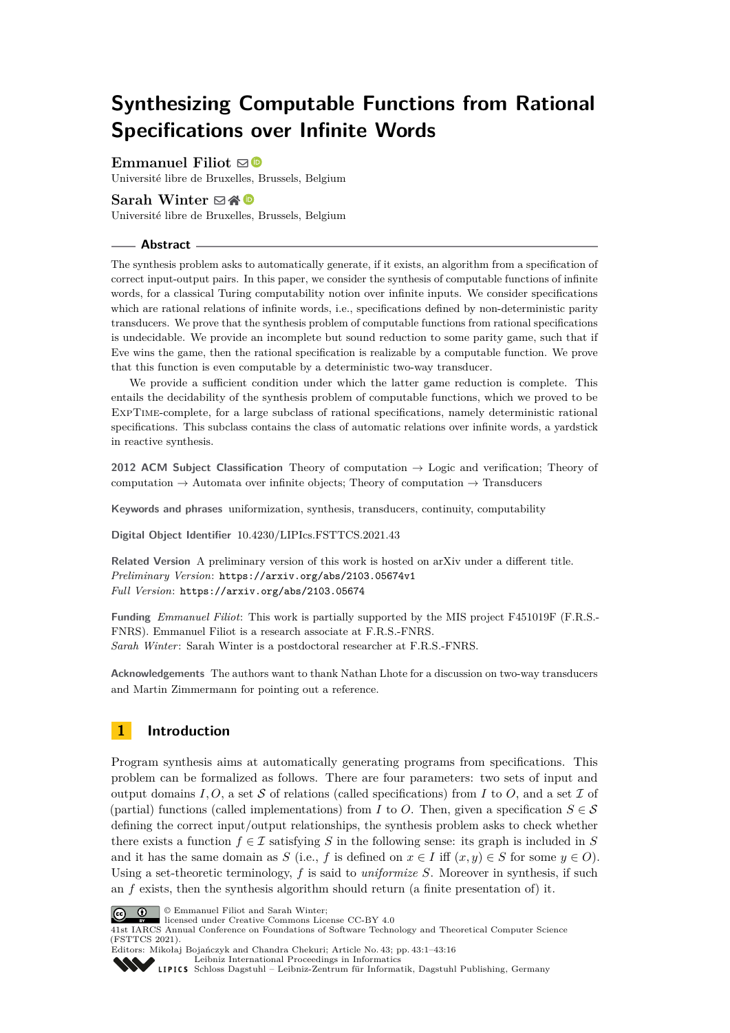# **Synthesizing Computable Functions from Rational Specifications over Infinite Words**

# **Emmanuel Filiot**  $\boxtimes$

Université libre de Bruxelles, Brussels, Belgium

## **Sarah Winter** ⊠\* <sup>©</sup>

Université libre de Bruxelles, Brussels, Belgium

## **Abstract**

The synthesis problem asks to automatically generate, if it exists, an algorithm from a specification of correct input-output pairs. In this paper, we consider the synthesis of computable functions of infinite words, for a classical Turing computability notion over infinite inputs. We consider specifications which are rational relations of infinite words, i.e., specifications defined by non-deterministic parity transducers. We prove that the synthesis problem of computable functions from rational specifications is undecidable. We provide an incomplete but sound reduction to some parity game, such that if Eve wins the game, then the rational specification is realizable by a computable function. We prove that this function is even computable by a deterministic two-way transducer.

We provide a sufficient condition under which the latter game reduction is complete. This entails the decidability of the synthesis problem of computable functions, which we proved to be ExpTime-complete, for a large subclass of rational specifications, namely deterministic rational specifications. This subclass contains the class of automatic relations over infinite words, a yardstick in reactive synthesis.

**2012 ACM Subject Classification** Theory of computation → Logic and verification; Theory of computation  $\rightarrow$  Automata over infinite objects; Theory of computation  $\rightarrow$  Transducers

**Keywords and phrases** uniformization, synthesis, transducers, continuity, computability

**Digital Object Identifier** [10.4230/LIPIcs.FSTTCS.2021.43](https://doi.org/10.4230/LIPIcs.FSTTCS.2021.43)

**Related Version** A preliminary version of this work is hosted on arXiv under a different title. *Preliminary Version*: <https://arxiv.org/abs/2103.05674v1> *Full Version*: <https://arxiv.org/abs/2103.05674>

**Funding** *Emmanuel Filiot*: This work is partially supported by the MIS project F451019F (F.R.S.- FNRS). Emmanuel Filiot is a research associate at F.R.S.-FNRS. *Sarah Winter*: Sarah Winter is a postdoctoral researcher at F.R.S.-FNRS.

**Acknowledgements** The authors want to thank Nathan Lhote for a discussion on two-way transducers and Martin Zimmermann for pointing out a reference.

# **1 Introduction**

Program synthesis aims at automatically generating programs from specifications. This problem can be formalized as follows. There are four parameters: two sets of input and output domains  $I, O$ , a set S of relations (called specifications) from I to O, and a set I of (partial) functions (called implementations) from *I* to *O*. Then, given a specification  $S \in \mathcal{S}$ defining the correct input/output relationships, the synthesis problem asks to check whether there exists a function  $f \in \mathcal{I}$  satisfying *S* in the following sense: its graph is included in *S* and it has the same domain as *S* (i.e., *f* is defined on  $x \in I$  iff  $(x, y) \in S$  for some  $y \in O$ ). Using a set-theoretic terminology, *f* is said to *uniformize S*. Moreover in synthesis, if such an *f* exists, then the synthesis algorithm should return (a finite presentation of) it.



© Emmanuel Filiot and Sarah Winter;

licensed under Creative Commons License CC-BY 4.0

41st IARCS Annual Conference on Foundations of Software Technology and Theoretical Computer Science (FSTTCS 2021). Editors: Mikołaj Bojańczyk and Chandra Chekuri; Article No. 43; pp. 43:1–43:16



[Leibniz International Proceedings in Informatics](https://www.dagstuhl.de/lipics/)

[Schloss Dagstuhl – Leibniz-Zentrum für Informatik, Dagstuhl Publishing, Germany](https://www.dagstuhl.de)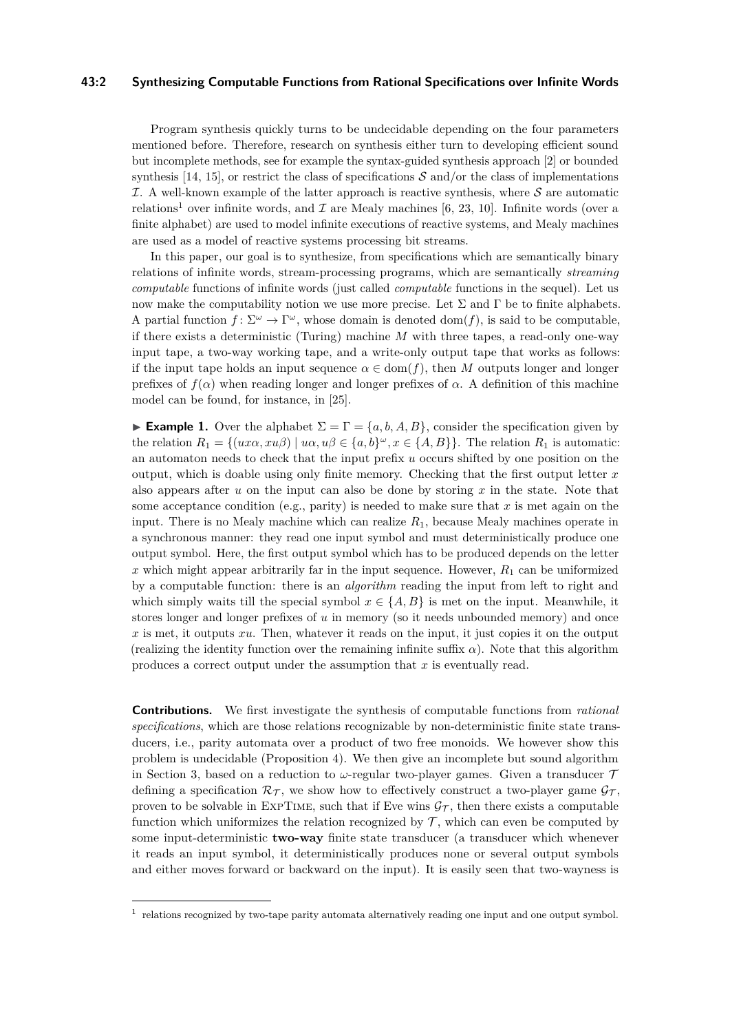## **43:2 Synthesizing Computable Functions from Rational Specifications over Infinite Words**

Program synthesis quickly turns to be undecidable depending on the four parameters mentioned before. Therefore, research on synthesis either turn to developing efficient sound but incomplete methods, see for example the syntax-guided synthesis approach [\[2\]](#page-14-0) or bounded synthesis [\[14,](#page-15-0) [15\]](#page-15-1), or restrict the class of specifications  $S$  and/or the class of implementations  $I.$  A well-known example of the latter approach is reactive synthesis, where  $S$  are automatic relations<sup>[1](#page-1-0)</sup> over infinite words, and  $\mathcal I$  are Mealy machines [\[6,](#page-15-2) [23,](#page-15-3) [10\]](#page-15-4). Infinite words (over a finite alphabet) are used to model infinite executions of reactive systems, and Mealy machines are used as a model of reactive systems processing bit streams.

In this paper, our goal is to synthesize, from specifications which are semantically binary relations of infinite words, stream-processing programs, which are semantically *streaming computable* functions of infinite words (just called *computable* functions in the sequel). Let us now make the computability notion we use more precise. Let  $\Sigma$  and  $\Gamma$  be to finite alphabets. A partial function  $f: \Sigma^{\omega} \to \Gamma^{\omega}$ , whose domain is denoted dom(*f*), is said to be computable, if there exists a deterministic (Turing) machine *M* with three tapes, a read-only one-way input tape, a two-way working tape, and a write-only output tape that works as follows: if the input tape holds an input sequence  $\alpha \in \text{dom}(f)$ , then *M* outputs longer and longer prefixes of  $f(\alpha)$  when reading longer and longer prefixes of  $\alpha$ . A definition of this machine model can be found, for instance, in [\[25\]](#page-15-5).

<span id="page-1-1"></span>**Example 1.** Over the alphabet  $\Sigma = \Gamma = \{a, b, A, B\}$ , consider the specification given by the relation  $R_1 = \{(ux\alpha, xu\beta) \mid u\alpha, u\beta \in \{a, b\}^\omega, x \in \{A, B\}\}.$  The relation  $R_1$  is automatic: an automaton needs to check that the input prefix *u* occurs shifted by one position on the output, which is doable using only finite memory. Checking that the first output letter *x* also appears after *u* on the input can also be done by storing *x* in the state. Note that some acceptance condition (e.g., parity) is needed to make sure that *x* is met again on the input. There is no Mealy machine which can realize *R*1, because Mealy machines operate in a synchronous manner: they read one input symbol and must deterministically produce one output symbol. Here, the first output symbol which has to be produced depends on the letter  $x$  which might appear arbitrarily far in the input sequence. However,  $R_1$  can be uniformized by a computable function: there is an *algorithm* reading the input from left to right and which simply waits till the special symbol  $x \in \{A, B\}$  is met on the input. Meanwhile, it stores longer and longer prefixes of *u* in memory (so it needs unbounded memory) and once *x* is met, it outputs *xu*. Then, whatever it reads on the input, it just copies it on the output (realizing the identity function over the remaining infinite suffix  $\alpha$ ). Note that this algorithm produces a correct output under the assumption that *x* is eventually read.

**Contributions.** We first investigate the synthesis of computable functions from *rational specifications*, which are those relations recognizable by non-deterministic finite state transducers, i.e., parity automata over a product of two free monoids. We however show this problem is undecidable (Proposition [4\)](#page-6-0). We then give an incomplete but sound algorithm in Section [3,](#page-6-1) based on a reduction to  $\omega$ -regular two-player games. Given a transducer  $\mathcal T$ defining a specification  $\mathcal{R}_{\mathcal{T}}$ , we show how to effectively construct a two-player game  $\mathcal{G}_{\mathcal{T}}$ , proven to be solvable in EXPTIME, such that if Eve wins  $\mathcal{G}_{\mathcal{T}}$ , then there exists a computable function which uniformizes the relation recognized by  $\mathcal{T}$ , which can even be computed by some input-deterministic **two-way** finite state transducer (a transducer which whenever it reads an input symbol, it deterministically produces none or several output symbols and either moves forward or backward on the input). It is easily seen that two-wayness is

<span id="page-1-0"></span><sup>&</sup>lt;sup>1</sup> relations recognized by two-tape parity automata alternatively reading one input and one output symbol.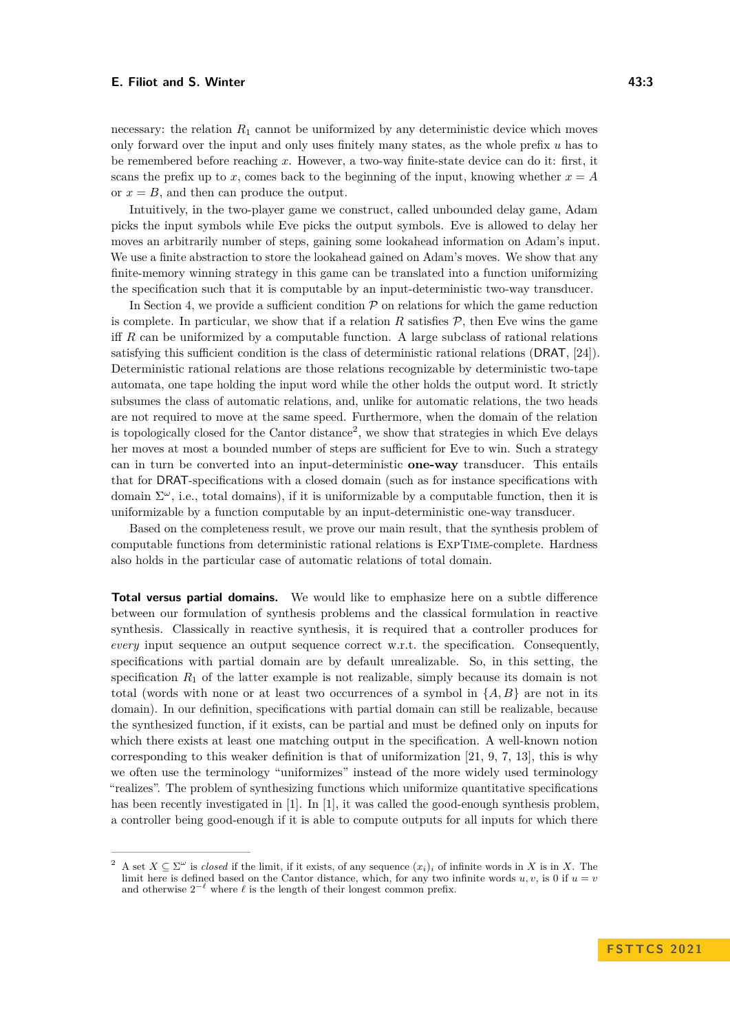necessary: the relation  $R_1$  cannot be uniformized by any deterministic device which moves only forward over the input and only uses finitely many states, as the whole prefix *u* has to be remembered before reaching *x*. However, a two-way finite-state device can do it: first, it scans the prefix up to x, comes back to the beginning of the input, knowing whether  $x = A$ or  $x = B$ , and then can produce the output.

Intuitively, in the two-player game we construct, called unbounded delay game, Adam picks the input symbols while Eve picks the output symbols. Eve is allowed to delay her moves an arbitrarily number of steps, gaining some lookahead information on Adam's input. We use a finite abstraction to store the lookahead gained on Adam's moves. We show that any finite-memory winning strategy in this game can be translated into a function uniformizing the specification such that it is computable by an input-deterministic two-way transducer.

In Section [4,](#page-11-0) we provide a sufficient condition  $P$  on relations for which the game reduction is complete. In particular, we show that if a relation  $R$  satisfies  $P$ , then Eve wins the game iff *R* can be uniformized by a computable function. A large subclass of rational relations satisfying this sufficient condition is the class of deterministic rational relations (DRAT, [\[24\]](#page-15-6)). Deterministic rational relations are those relations recognizable by deterministic two-tape automata, one tape holding the input word while the other holds the output word. It strictly subsumes the class of automatic relations, and, unlike for automatic relations, the two heads are not required to move at the same speed. Furthermore, when the domain of the relation is topologically closed for the Cantor distance<sup>[2](#page-2-0)</sup>, we show that strategies in which Eve delays her moves at most a bounded number of steps are sufficient for Eve to win. Such a strategy can in turn be converted into an input-deterministic **one-way** transducer. This entails that for DRAT-specifications with a closed domain (such as for instance specifications with domain  $\Sigma^{\omega}$ , i.e., total domains), if it is uniformizable by a computable function, then it is uniformizable by a function computable by an input-deterministic one-way transducer.

Based on the completeness result, we prove our main result, that the synthesis problem of computable functions from deterministic rational relations is ExpTime-complete. Hardness also holds in the particular case of automatic relations of total domain.

**Total versus partial domains.** We would like to emphasize here on a subtle difference between our formulation of synthesis problems and the classical formulation in reactive synthesis. Classically in reactive synthesis, it is required that a controller produces for *every* input sequence an output sequence correct w.r.t. the specification. Consequently, specifications with partial domain are by default unrealizable. So, in this setting, the specification  $R_1$  of the latter example is not realizable, simply because its domain is not total (words with none or at least two occurrences of a symbol in  $\{A, B\}$  are not in its domain). In our definition, specifications with partial domain can still be realizable, because the synthesized function, if it exists, can be partial and must be defined only on inputs for which there exists at least one matching output in the specification. A well-known notion corresponding to this weaker definition is that of uniformization [\[21,](#page-15-7) [9,](#page-15-8) [7,](#page-15-9) [13\]](#page-15-10), this is why we often use the terminology "uniformizes" instead of the more widely used terminology "realizes". The problem of synthesizing functions which uniformize quantitative specifications has been recently investigated in [\[1\]](#page-14-1). In [\[1\]](#page-14-1), it was called the good-enough synthesis problem, a controller being good-enough if it is able to compute outputs for all inputs for which there

<span id="page-2-0"></span><sup>&</sup>lt;sup>2</sup> A set  $X \subseteq \Sigma^\omega$  is *closed* if the limit, if it exists, of any sequence  $(x_i)_i$  of infinite words in *X* is in *X*. The limit here is defined based on the Cantor distance, which, for any two infinite words  $u, v$ , is 0 if  $u = v$ and otherwise  $2^{-\ell}$  where  $\ell$  is the length of their longest common prefix.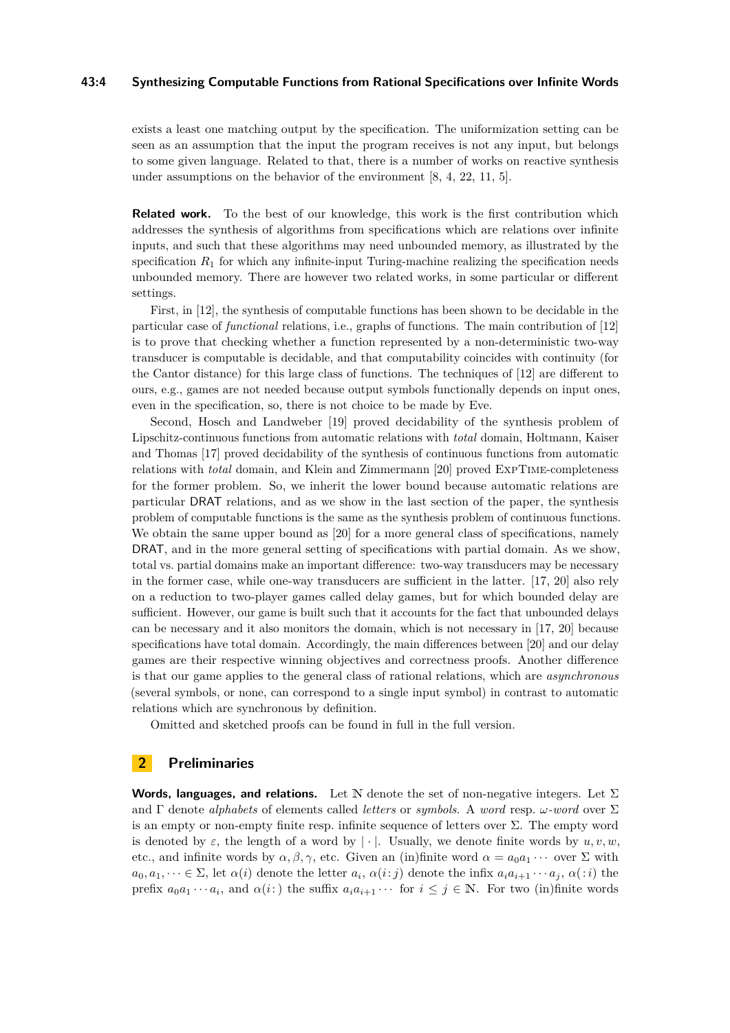## **43:4 Synthesizing Computable Functions from Rational Specifications over Infinite Words**

exists a least one matching output by the specification. The uniformization setting can be seen as an assumption that the input the program receives is not any input, but belongs to some given language. Related to that, there is a number of works on reactive synthesis under assumptions on the behavior of the environment [\[8,](#page-15-11) [4,](#page-14-2) [22,](#page-15-12) [11,](#page-15-13) [5\]](#page-14-3).

**Related work.** To the best of our knowledge, this work is the first contribution which addresses the synthesis of algorithms from specifications which are relations over infinite inputs, and such that these algorithms may need unbounded memory, as illustrated by the specification  $R_1$  for which any infinite-input Turing-machine realizing the specification needs unbounded memory. There are however two related works, in some particular or different settings.

First, in [\[12\]](#page-15-14), the synthesis of computable functions has been shown to be decidable in the particular case of *functional* relations, i.e., graphs of functions. The main contribution of [\[12\]](#page-15-14) is to prove that checking whether a function represented by a non-deterministic two-way transducer is computable is decidable, and that computability coincides with continuity (for the Cantor distance) for this large class of functions. The techniques of [\[12\]](#page-15-14) are different to ours, e.g., games are not needed because output symbols functionally depends on input ones, even in the specification, so, there is not choice to be made by Eve.

Second, Hosch and Landweber [\[19\]](#page-15-15) proved decidability of the synthesis problem of Lipschitz-continuous functions from automatic relations with *total* domain, Holtmann, Kaiser and Thomas [\[17\]](#page-15-16) proved decidability of the synthesis of continuous functions from automatic relations with *total* domain, and Klein and Zimmermann [\[20\]](#page-15-17) proved ExpTime-completeness for the former problem. So, we inherit the lower bound because automatic relations are particular DRAT relations, and as we show in the last section of the paper, the synthesis problem of computable functions is the same as the synthesis problem of continuous functions. We obtain the same upper bound as [\[20\]](#page-15-17) for a more general class of specifications, namely DRAT, and in the more general setting of specifications with partial domain. As we show, total vs. partial domains make an important difference: two-way transducers may be necessary in the former case, while one-way transducers are sufficient in the latter. [\[17,](#page-15-16) [20\]](#page-15-17) also rely on a reduction to two-player games called delay games, but for which bounded delay are sufficient. However, our game is built such that it accounts for the fact that unbounded delays can be necessary and it also monitors the domain, which is not necessary in [\[17,](#page-15-16) [20\]](#page-15-17) because specifications have total domain. Accordingly, the main differences between [\[20\]](#page-15-17) and our delay games are their respective winning objectives and correctness proofs. Another difference is that our game applies to the general class of rational relations, which are *asynchronous* (several symbols, or none, can correspond to a single input symbol) in contrast to automatic relations which are synchronous by definition.

Omitted and sketched proofs can be found in full in the full version.

# **2 Preliminaries**

**Words, languages, and relations.** Let N denote the set of non-negative integers. Let  $\Sigma$ and Γ denote *alphabets* of elements called *letters* or *symbols*. A *word* resp. *ω-word* over Σ is an empty or non-empty finite resp. infinite sequence of letters over  $\Sigma$ . The empty word is denoted by  $\varepsilon$ , the length of a word by  $|\cdot|$ . Usually, we denote finite words by  $u, v, w$ , etc., and infinite words by  $\alpha, \beta, \gamma$ , etc. Given an (in)finite word  $\alpha = a_0 a_1 \cdots$  over  $\Sigma$  with  $a_0, a_1, \dots \in \Sigma$ , let  $\alpha(i)$  denote the letter  $a_i, \alpha(i:j)$  denote the infix  $a_i a_{i+1} \cdots a_j, \alpha(i)$  the prefix  $a_0a_1 \cdots a_i$ , and  $\alpha(i)$  the suffix  $a_ia_{i+1} \cdots$  for  $i \leq j \in \mathbb{N}$ . For two (in)finite words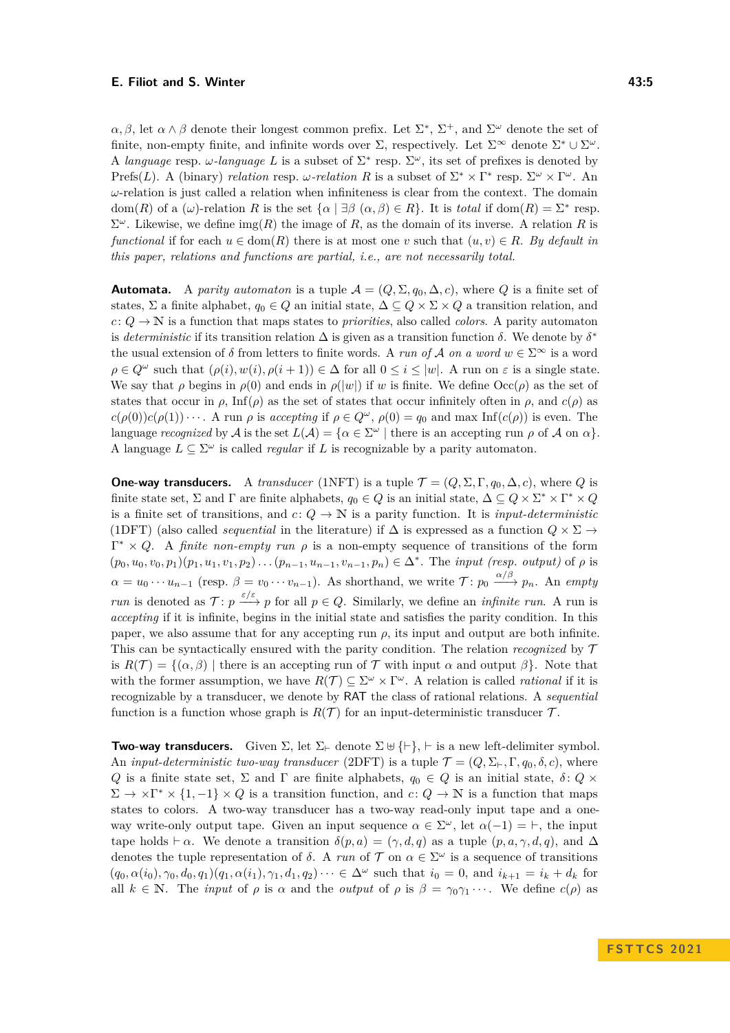*α*, *β*, let  $\alpha \wedge \beta$  denote their longest common prefix. Let  $\Sigma^*$ ,  $\Sigma^+$ , and  $\Sigma^{\omega}$  denote the set of finite, non-empty finite, and infinite words over  $\Sigma$ , respectively. Let  $\Sigma^{\infty}$  denote  $\Sigma^* \cup \Sigma^{\omega}$ . A *language* resp.  $\omega$ -*language*  $L$  is a subset of  $\Sigma^*$  resp.  $\Sigma^{\omega}$ , its set of prefixes is denoted by Prefs(*L*). A (binary) *relation* resp. *ω-relation* R is a subset of  $\Sigma^* \times \Gamma^*$  resp.  $\Sigma^{\omega} \times \Gamma^{\omega}$ . An *ω*-relation is just called a relation when infiniteness is clear from the context. The domain dom(*R*) of a (*ω*)-relation *R* is the set  $\{\alpha \mid \exists \beta \ (\alpha, \beta) \in R\}$ . It is *total* if dom(*R*) =  $\Sigma^*$  resp.  $\Sigma^{\omega}$ . Likewise, we define  $\text{img}(R)$  the image of *R*, as the domain of its inverse. A relation *R* is *functional* if for each  $u \in \text{dom}(R)$  there is at most one *v* such that  $(u, v) \in R$ . By default in *this paper, relations and functions are partial, i.e., are not necessarily total.*

**Automata.** A *parity automaton* is a tuple  $A = (Q, \Sigma, q_0, \Delta, c)$ , where Q is a finite set of states,  $\Sigma$  a finite alphabet,  $q_0 \in Q$  an initial state,  $\Delta \subseteq Q \times \Sigma \times Q$  a transition relation, and  $c: Q \to \mathbb{N}$  is a function that maps states to *priorities*, also called *colors*. A parity automaton is *deterministic* if its transition relation  $\Delta$  is given as a transition function  $\delta$ . We denote by  $\delta^*$ the usual extension of  $\delta$  from letters to finite words. A *run of* A *on a word*  $w \in \Sigma^{\infty}$  is a word  $\rho \in Q^{\omega}$  such that  $(\rho(i), w(i), \rho(i+1)) \in \Delta$  for all  $0 \leq i \leq |w|$ . A run on  $\varepsilon$  is a single state. We say that *ρ* begins in  $\rho(0)$  and ends in  $\rho(|w|)$  if *w* is finite. We define  $\text{Occ}(\rho)$  as the set of states that occur in  $\rho$ , Inf( $\rho$ ) as the set of states that occur infinitely often in  $\rho$ , and  $c(\rho)$  as  $c(\rho(0))c(\rho(1))\cdots$ . A run  $\rho$  is *accepting* if  $\rho \in Q^{\omega}$ ,  $\rho(0) = q_0$  and max Inf(*c*(*ρ*)) is even. The language *recognized* by A is the set  $L(\mathcal{A}) = \{ \alpha \in \Sigma^{\omega} \mid \text{there is an accepting run } \rho \text{ of } \mathcal{A} \text{ on } \alpha \}.$ A language  $L \subseteq \Sigma^{\omega}$  is called *regular* if *L* is recognizable by a parity automaton.

**One-way transducers.** A *transducer* (1NFT) is a tuple  $\mathcal{T} = (Q, \Sigma, \Gamma, q_0, \Delta, c)$ , where *Q* is finite state set,  $\Sigma$  and  $\Gamma$  are finite alphabets,  $q_0 \in Q$  is an initial state,  $\Delta \subseteq Q \times \Sigma^* \times \Gamma^* \times Q$ is a finite set of transitions, and  $c: Q \to \mathbb{N}$  is a parity function. It is *input-deterministic* (1DFT) (also called *sequential* in the literature) if  $\Delta$  is expressed as a function  $Q \times \Sigma \rightarrow$  $\Gamma^* \times Q$ . A *finite non-empty run*  $\rho$  is a non-empty sequence of transitions of the form  $(p_0, u_0, v_0, p_1)(p_1, u_1, v_1, p_2) \dots (p_{n-1}, u_{n-1}, v_{n-1}, p_n) \in \Delta^*$ . The *input (resp. output)* of  $\rho$  is  $\alpha = u_0 \cdots u_{n-1}$  (resp.  $\beta = v_0 \cdots v_{n-1}$ ). As shorthand, we write  $\mathcal{T}$ :  $p_0 \xrightarrow{\alpha/\beta} p_n$ . An *empty run* is denoted as  $\mathcal{T}: p \xrightarrow{\varepsilon/\varepsilon} p$  for all  $p \in Q$ . Similarly, we define an *infinite run*. A run is *accepting* if it is infinite, begins in the initial state and satisfies the parity condition. In this paper, we also assume that for any accepting run  $\rho$ , its input and output are both infinite. This can be syntactically ensured with the parity condition. The relation *recognized* by T is  $R(\mathcal{T}) = \{(\alpha, \beta) \mid \text{there is an accepting run of } \mathcal{T} \text{ with input } \alpha \text{ and output } \beta\}.$  Note that with the former assumption, we have  $R(\mathcal{T}) \subseteq \Sigma^{\omega} \times \Gamma^{\omega}$ . A relation is called *rational* if it is recognizable by a transducer, we denote by RAT the class of rational relations. A *sequential* function is a function whose graph is  $R(\mathcal{T})$  for an input-deterministic transducer  $\mathcal{T}$ .

**Two-way transducers.** Given  $\Sigma$ , let  $\Sigma_{\vdash}$  denote  $\Sigma \uplus {\vdash}$ ,  $\vdash$  is a new left-delimiter symbol. An *input-deterministic two-way transducer* (2DFT) is a tuple  $\mathcal{T} = (Q, \Sigma_{\vdash}, \Gamma, q_0, \delta, c)$ , where *Q* is a finite state set,  $\Sigma$  and  $\Gamma$  are finite alphabets,  $q_0 \in Q$  is an initial state,  $\delta: Q \times$  $\Sigma \to \times \Gamma^* \times \{1, -1\} \times Q$  is a transition function, and  $c: Q \to \mathbb{N}$  is a function that maps states to colors. A two-way transducer has a two-way read-only input tape and a oneway write-only output tape. Given an input sequence  $\alpha \in \Sigma^{\omega}$ , let  $\alpha(-1) = \vdash$ , the input tape holds  $\vdash \alpha$ . We denote a transition  $\delta(p, a) = (\gamma, d, q)$  as a tuple  $(p, a, \gamma, d, q)$ , and  $\Delta$ denotes the tuple representation of  $\delta$ . A *run* of  $\mathcal{T}$  on  $\alpha \in \Sigma^{\omega}$  is a sequence of transitions  $(q_0, \alpha(i_0), \gamma_0, d_0, q_1)(q_1, \alpha(i_1), \gamma_1, d_1, q_2) \cdots \in \Delta^{\omega}$  such that  $i_0 = 0$ , and  $i_{k+1} = i_k + d_k$  for all  $k \in \mathbb{N}$ . The *input* of  $\rho$  is  $\alpha$  and the *output* of  $\rho$  is  $\beta = \gamma_0 \gamma_1 \cdots$ . We define  $c(\rho)$  as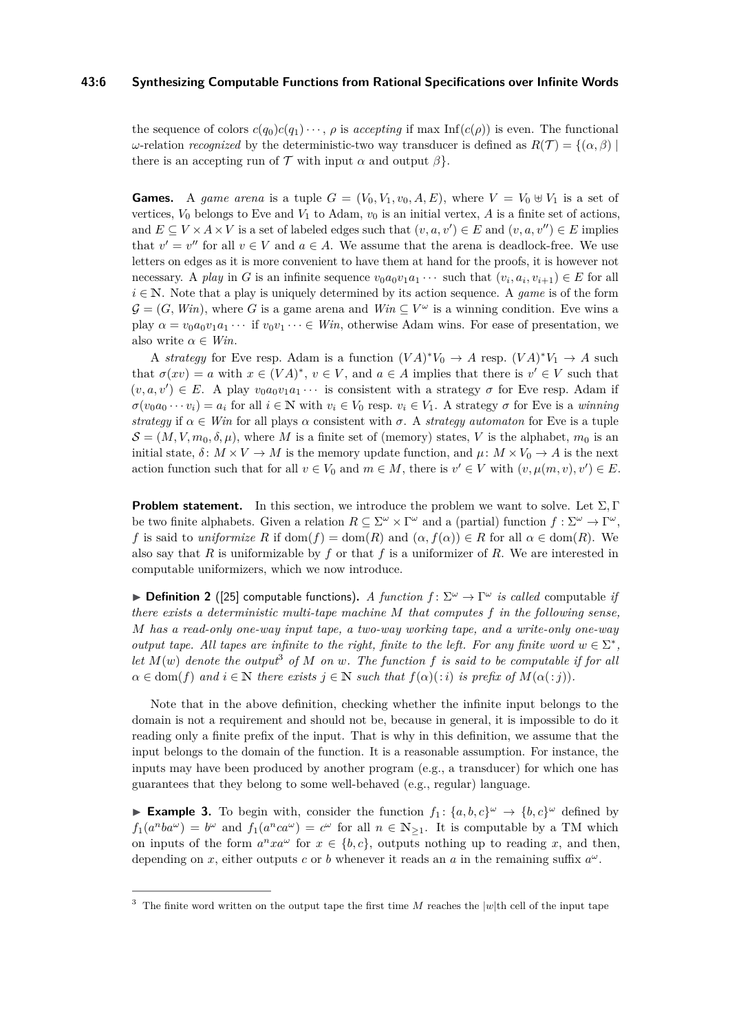## **43:6 Synthesizing Computable Functions from Rational Specifications over Infinite Words**

the sequence of colors  $c(q_0)c(q_1)\cdots$ , *ρ* is *accepting* if max Inf( $c(\rho)$ ) is even. The functional *ω*-relation *recognized* by the deterministic-two way transducer is defined as  $R(T) = \{(α, β) \mid$ there is an accepting run of  $\mathcal T$  with input  $\alpha$  and output  $\beta$ .

**Games.** A game arena is a tuple  $G = (V_0, V_1, v_0, A, E)$ , where  $V = V_0 \oplus V_1$  is a set of vertices,  $V_0$  belongs to Eve and  $V_1$  to Adam,  $v_0$  is an initial vertex,  $A$  is a finite set of actions, and  $E \subseteq V \times A \times V$  is a set of labeled edges such that  $(v, a, v') \in E$  and  $(v, a, v'') \in E$  implies that  $v' = v''$  for all  $v \in V$  and  $a \in A$ . We assume that the arena is deadlock-free. We use letters on edges as it is more convenient to have them at hand for the proofs, it is however not necessary. A *play* in *G* is an infinite sequence  $v_0a_0v_1a_1\cdots$  such that  $(v_i, a_i, v_{i+1}) \in E$  for all  $i \in \mathbb{N}$ . Note that a play is uniquely determined by its action sequence. A *game* is of the form  $\mathcal{G} = (G, Win)$ , where G is a game arena and  $Win \subseteq V^{\omega}$  is a winning condition. Eve wins a play  $\alpha = v_0 a_0 v_1 a_1 \cdots$  if  $v_0 v_1 \cdots \in W$ *in*, otherwise Adam wins. For ease of presentation, we also write  $\alpha \in Win$ .

A *strategy* for Eve resp. Adam is a function  $(VA)^*V_0 \to A$  resp.  $(VA)^*V_1 \to A$  such that  $\sigma(xv) = a$  with  $x \in (VA)^*$ ,  $v \in V$ , and  $a \in A$  implies that there is  $v' \in V$  such that  $(v, a, v') \in E$ . A play  $v_0 a_0 v_1 a_1 \cdots$  is consistent with a strategy  $\sigma$  for Eve resp. Adam if  $\sigma(v_0a_0\cdots v_i)=a_i$  for all  $i\in\mathbb{N}$  with  $v_i\in V_0$  resp.  $v_i\in V_1$ . A strategy  $\sigma$  for Eve is a *winning strategy* if  $\alpha \in$  *Win* for all plays  $\alpha$  consistent with  $\sigma$ . A *strategy automaton* for Eve is a tuple  $\mathcal{S} = (M, V, m_0, \delta, \mu)$ , where M is a finite set of (memory) states, V is the alphabet,  $m_0$  is an initial state,  $\delta: M \times V \to M$  is the memory update function, and  $\mu: M \times V_0 \to A$  is the next action function such that for all  $v \in V_0$  and  $m \in M$ , there is  $v' \in V$  with  $(v, \mu(m, v), v') \in E$ .

**Problem statement.** In this section, we introduce the problem we want to solve. Let  $\Sigma$ , Γ be two finite alphabets. Given a relation  $R \subseteq \Sigma^{\omega} \times \Gamma^{\omega}$  and a (partial) function  $f : \Sigma^{\omega} \to \Gamma^{\omega}$ , *f* is said to *uniformize R* if dom(*f*) = dom(*R*) and  $(\alpha, f(\alpha)) \in R$  for all  $\alpha \in \text{dom}(R)$ . We also say that *R* is uniformizable by *f* or that *f* is a uniformizer of *R*. We are interested in computable uniformizers, which we now introduce.

 $\triangleright$  **Definition 2** ([\[25\]](#page-15-5) computable functions). *A function*  $f: \Sigma^{\omega} \to \Gamma^{\omega}$  *is called* computable *if there exists a deterministic multi-tape machine M that computes f in the following sense, M has a read-only one-way input tape, a two-way working tape, and a write-only one-way output tape. All tapes are infinite to the right, finite to the left. For any finite word*  $w \in \Sigma^*$ , *let*  $M(w)$  *denote the output*<sup>[3](#page-5-0)</sup> *of*  $M$  *on*  $w$ *. The function*  $f$  *is said to be computable if for all*  $\alpha \in \text{dom}(f)$  *and*  $i \in \mathbb{N}$  *there exists*  $j \in \mathbb{N}$  *such that*  $f(\alpha)(:i)$  *is prefix of*  $M(\alpha(:i))$ *.* 

Note that in the above definition, checking whether the infinite input belongs to the domain is not a requirement and should not be, because in general, it is impossible to do it reading only a finite prefix of the input. That is why in this definition, we assume that the input belongs to the domain of the function. It is a reasonable assumption. For instance, the inputs may have been produced by another program (e.g., a transducer) for which one has guarantees that they belong to some well-behaved (e.g., regular) language.

<span id="page-5-1"></span>**Example 3.** To begin with, consider the function  $f_1: \{a, b, c\}^\omega \to \{b, c\}^\omega$  defined by  $f_1(a^nba^{\omega}) = b^{\omega}$  and  $f_1(a^nca^{\omega}) = c^{\omega}$  for all  $n \in \mathbb{N}_{\geq 1}$ . It is computable by a TM which on inputs of the form  $a^n x a^{\omega}$  for  $x \in \{b, c\}$ , outputs nothing up to reading *x*, and then, depending on *x*, either outputs *c* or *b* whenever it reads an *a* in the remaining suffix *a ω*.

<span id="page-5-0"></span><sup>&</sup>lt;sup>3</sup> The finite word written on the output tape the first time  $M$  reaches the  $|w|$ th cell of the input tape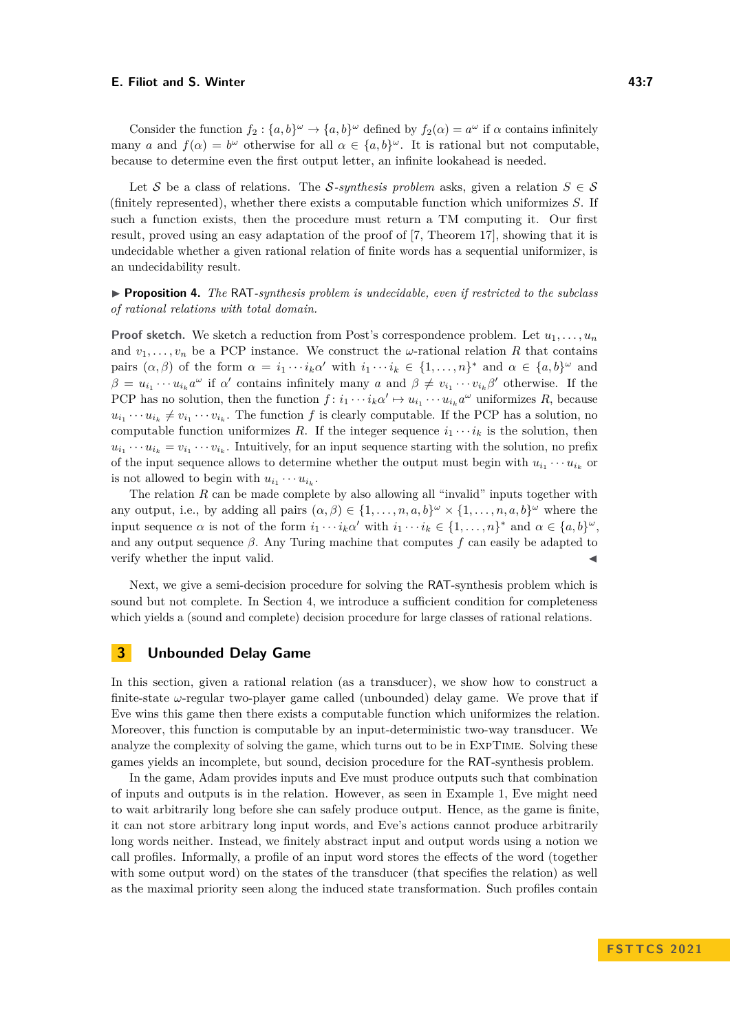Consider the function  $f_2$ :  $\{a, b\}^\omega \to \{a, b\}^\omega$  defined by  $f_2(\alpha) = a^\omega$  if  $\alpha$  contains infinitely many *a* and  $f(\alpha) = b^{\omega}$  otherwise for all  $\alpha \in \{a, b\}^{\omega}$ . It is rational but not computable, because to determine even the first output letter, an infinite lookahead is needed.

Let S be a class of relations. The S-synthesis problem asks, given a relation  $S \in \mathcal{S}$ (finitely represented), whether there exists a computable function which uniformizes *S*. If such a function exists, then the procedure must return a TM computing it. Our first result, proved using an easy adaptation of the proof of [\[7,](#page-15-9) Theorem 17], showing that it is undecidable whether a given rational relation of finite words has a sequential uniformizer, is an undecidability result.

<span id="page-6-0"></span>▶ **Proposition 4.** *The* RAT*-synthesis problem is undecidable, even if restricted to the subclass of rational relations with total domain.*

**Proof sketch.** We sketch a reduction from Post's correspondence problem. Let  $u_1, \ldots, u_n$ and  $v_1, \ldots, v_n$  be a PCP instance. We construct the  $\omega$ -rational relation R that contains pairs  $(\alpha, \beta)$  of the form  $\alpha = i_1 \cdots i_k \alpha'$  with  $i_1 \cdots i_k \in \{1, \ldots, n\}^*$  and  $\alpha \in \{a, b\}^\omega$  and  $\beta = u_{i_1} \cdots u_{i_k} a^{\omega}$  if  $\alpha'$  contains infinitely many *a* and  $\beta \neq v_{i_1} \cdots v_{i_k} \beta'$  otherwise. If the PCP has no solution, then the function  $f: i_1 \cdots i_k \alpha' \mapsto u_{i_1} \cdots u_{i_k} \alpha^{\omega}$  uniformizes  $R$ , because  $u_{i_1} \cdots u_{i_k} \neq v_{i_1} \cdots v_{i_k}$ . The function *f* is clearly computable. If the PCP has a solution, no computable function uniformizes *R*. If the integer sequence  $i_1 \cdots i_k$  is the solution, then  $u_{i_1} \cdots u_{i_k} = v_{i_1} \cdots v_{i_k}$ . Intuitively, for an input sequence starting with the solution, no prefix of the input sequence allows to determine whether the output must begin with  $u_{i_1} \cdots u_{i_k}$  or is not allowed to begin with  $u_{i_1} \cdots u_{i_k}$ .

The relation *R* can be made complete by also allowing all "invalid" inputs together with any output, i.e., by adding all pairs  $(\alpha, \beta) \in \{1, \ldots, n, a, b\}^\omega \times \{1, \ldots, n, a, b\}^\omega$  where the input sequence  $\alpha$  is not of the form  $i_1 \cdots i_k \alpha'$  with  $i_1 \cdots i_k \in \{1, \ldots, n\}^*$  and  $\alpha \in \{a, b\}^\omega$ , and any output sequence  $\beta$ . Any Turing machine that computes  $f$  can easily be adapted to verify whether the input valid.

Next, we give a semi-decision procedure for solving the RAT-synthesis problem which is sound but not complete. In Section [4,](#page-11-0) we introduce a sufficient condition for completeness which yields a (sound and complete) decision procedure for large classes of rational relations.

# <span id="page-6-1"></span>**3 Unbounded Delay Game**

In this section, given a rational relation (as a transducer), we show how to construct a finite-state  $\omega$ -regular two-player game called (unbounded) delay game. We prove that if Eve wins this game then there exists a computable function which uniformizes the relation. Moreover, this function is computable by an input-deterministic two-way transducer. We analyze the complexity of solving the game, which turns out to be in ExpTime. Solving these games yields an incomplete, but sound, decision procedure for the RAT-synthesis problem.

In the game, Adam provides inputs and Eve must produce outputs such that combination of inputs and outputs is in the relation. However, as seen in Example [1,](#page-1-1) Eve might need to wait arbitrarily long before she can safely produce output. Hence, as the game is finite, it can not store arbitrary long input words, and Eve's actions cannot produce arbitrarily long words neither. Instead, we finitely abstract input and output words using a notion we call profiles. Informally, a profile of an input word stores the effects of the word (together with some output word) on the states of the transducer (that specifies the relation) as well as the maximal priority seen along the induced state transformation. Such profiles contain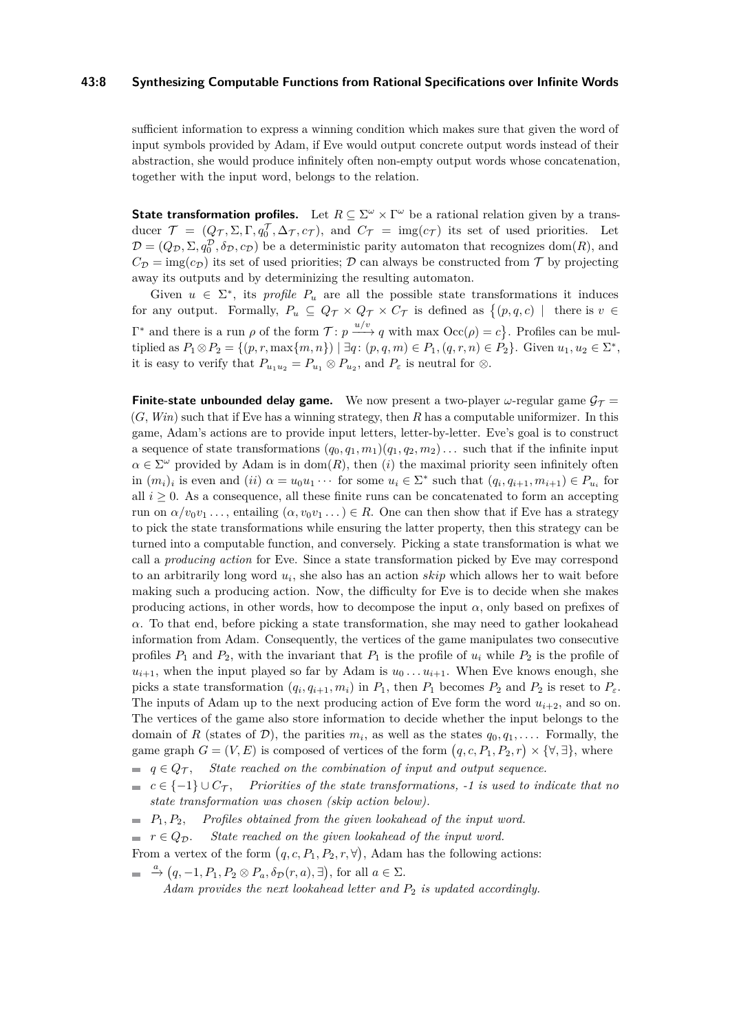### **43:8 Synthesizing Computable Functions from Rational Specifications over Infinite Words**

sufficient information to express a winning condition which makes sure that given the word of input symbols provided by Adam, if Eve would output concrete output words instead of their abstraction, she would produce infinitely often non-empty output words whose concatenation, together with the input word, belongs to the relation.

**State transformation profiles.** Let  $R \subseteq \Sigma^{\omega} \times \Gamma^{\omega}$  be a rational relation given by a transducer  $\mathcal{T} = (Q_{\mathcal{T}}, \Sigma, \Gamma, q_0^{\mathcal{T}}, \Delta_{\mathcal{T}}, c_{\mathcal{T}})$ , and  $C_{\mathcal{T}} = \text{img}(c_{\mathcal{T}})$  its set of used priorities. Let  $\mathcal{D} = (Q_{\mathcal{D}}, \Sigma, q_0^{\mathcal{D}}, \delta_{\mathcal{D}}, c_{\mathcal{D}})$  be a deterministic parity automaton that recognizes dom(*R*), and  $C_{\mathcal{D}} = \text{img}(c_{\mathcal{D}})$  its set of used priorities;  $\mathcal{D}$  can always be constructed from  $\mathcal{T}$  by projecting away its outputs and by determinizing the resulting automaton.

Given  $u \in \Sigma^*$ , its *profile*  $P_u$  are all the possible state transformations it induces for any output. Formally,  $P_u \subseteq Q_{\mathcal{T}} \times Q_{\mathcal{T}} \times C_{\mathcal{T}}$  is defined as  $\{(p,q,c) \mid \text{there is } v \in$  $Γ^*$  and there is a run *ρ* of the form  $T: p \xrightarrow{u/v} q$  with max  $Occ(ρ) = c$ }. Profiles can be multiplied as  $P_1 \otimes P_2 = \{(p, r, \max\{m, n\}) \mid \exists q : (p, q, m) \in P_1, (q, r, n) \in P_2\}$ . Given  $u_1, u_2 \in \Sigma^*$ , it is easy to verify that  $P_{u_1u_2} = P_{u_1} \otimes P_{u_2}$ , and  $P_{\varepsilon}$  is neutral for  $\otimes$ .

**Finite-state unbounded delay game.** We now present a two-player  $\omega$ -regular game  $\mathcal{G}_\mathcal{T} =$ (*G, Win*) such that if Eve has a winning strategy, then *R* has a computable uniformizer. In this game, Adam's actions are to provide input letters, letter-by-letter. Eve's goal is to construct a sequence of state transformations  $(q_0, q_1, m_1)(q_1, q_2, m_2) \ldots$  such that if the infinite input  $\alpha \in \Sigma^{\omega}$  provided by Adam is in dom(*R*), then (*i*) the maximal priority seen infinitely often in  $(m_i)_i$  is even and  $(ii) \alpha = u_0u_1 \cdots$  for some  $u_i \in \Sigma^*$  such that  $(q_i, q_{i+1}, m_{i+1}) \in P_{u_i}$  for all  $i \geq 0$ . As a consequence, all these finite runs can be concatenated to form an accepting run on  $\alpha/v_0v_1 \ldots$ , entailing  $(\alpha, v_0v_1 \ldots) \in R$ . One can then show that if Eve has a strategy to pick the state transformations while ensuring the latter property, then this strategy can be turned into a computable function, and conversely. Picking a state transformation is what we call a *producing action* for Eve. Since a state transformation picked by Eve may correspond to an arbitrarily long word *u<sup>i</sup>* , she also has an action *skip* which allows her to wait before making such a producing action. Now, the difficulty for Eve is to decide when she makes producing actions, in other words, how to decompose the input  $\alpha$ , only based on prefixes of *α*. To that end, before picking a state transformation, she may need to gather lookahead information from Adam. Consequently, the vertices of the game manipulates two consecutive profiles  $P_1$  and  $P_2$ , with the invariant that  $P_1$  is the profile of  $u_i$  while  $P_2$  is the profile of  $u_{i+1}$ , when the input played so far by Adam is  $u_0 \ldots u_{i+1}$ . When Eve knows enough, she picks a state transformation  $(q_i, q_{i+1}, m_i)$  in  $P_1$ , then  $P_1$  becomes  $P_2$  and  $P_2$  is reset to  $P_{\varepsilon}$ . The inputs of Adam up to the next producing action of Eve form the word  $u_{i+2}$ , and so on. The vertices of the game also store information to decide whether the input belongs to the domain of *R* (states of *D*), the parities  $m_i$ , as well as the states  $q_0, q_1, \ldots$ . Formally, the game graph  $G = (V, E)$  is composed of vertices of the form  $(q, c, P_1, P_2, r) \times {\forall, \exists}$ , where  $q \in Q_{\mathcal{T}}$ , *State reached on the combination of input and output sequence.* 

- $c \in \{-1\} \cup C_{\mathcal{T}}$ , *Priorities of the state transformations, -1 is used to indicate that no state transformation was chosen (skip action below).*
- $P_1, P_2,$  *Profiles obtained from the given lookahead of the input word.*
- $\blacksquare$  *r*  $\in Q_{\mathcal{D}}$ . *State reached on the given lookahead of the input word.*
- From a vertex of the form  $(q, c, P_1, P_2, r, \forall)$ , Adam has the following actions:
- $\stackrel{a}{\rightarrow}$   $(q, -1, P_1, P_2 \otimes P_a, \delta_{\mathcal{D}}(r, a), \exists)$ , for all  $a \in \Sigma$ .

*Adam provides the next lookahead letter and P*<sup>2</sup> *is updated accordingly.*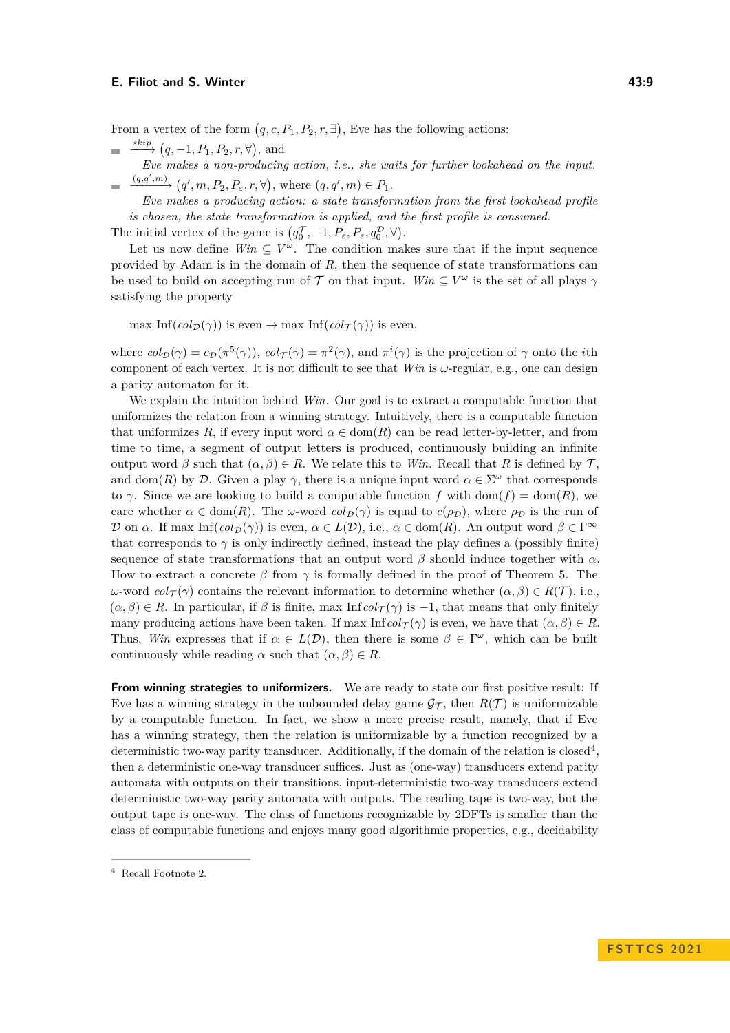From a vertex of the form  $(q, c, P_1, P_2, r, \exists)$ , Eve has the following actions:

- $\xrightarrow{skip} (q, -1, P_1, P_2, r, \forall),$  and  $Eve$  makes a non-producing action, i.e., she waits for further lookahead on the input.
- $\longrightarrow$   $(q', m, P_2, P_{\varepsilon}, r, \forall)$ , where  $(q, q', m) \in P_1$ .

*Eve makes a producing action: a state transformation from the first lookahead profile is chosen, the state transformation is applied, and the first profile is consumed.*

The initial vertex of the game is  $(q_0^{\mathcal{T}}, -1, P_\varepsilon, P_\varepsilon, q_0^{\mathcal{D}}, \forall)$ .

Let us now define  $Win \subseteq V^{\omega}$ . The condition makes sure that if the input sequence provided by Adam is in the domain of *R*, then the sequence of state transformations can be used to build on accepting run of T on that input. *Win*  $\subseteq V^{\omega}$  is the set of all plays  $\gamma$ satisfying the property

 $\max \operatorname{Inf}(col_{\mathcal{D}}(\gamma))$  is even  $\rightarrow \max \operatorname{Inf}(col_{\mathcal{T}}(\gamma))$  is even,

where  $col_{\mathcal{D}}(\gamma) = c_{\mathcal{D}}(\pi^5(\gamma))$ ,  $col_{\mathcal{T}}(\gamma) = \pi^2(\gamma)$ , and  $\pi^i(\gamma)$  is the projection of  $\gamma$  onto the *i*th component of each vertex. It is not difficult to see that *Win* is *ω*-regular, e.g., one can design a parity automaton for it.

We explain the intuition behind *Win*. Our goal is to extract a computable function that uniformizes the relation from a winning strategy. Intuitively, there is a computable function that uniformizes R, if every input word  $\alpha \in \text{dom}(R)$  can be read letter-by-letter, and from time to time, a segment of output letters is produced, continuously building an infinite output word  $\beta$  such that  $(\alpha, \beta) \in R$ . We relate this to *Win*. Recall that R is defined by T. and dom(*R*) by D. Given a play  $\gamma$ , there is a unique input word  $\alpha \in \Sigma^{\omega}$  that corresponds to  $\gamma$ . Since we are looking to build a computable function f with dom(f) = dom(R), we care whether  $\alpha \in \text{dom}(R)$ . The *ω*-word  $\text{col}_{\mathcal{D}}(\gamma)$  is equal to  $c(\rho_{\mathcal{D}})$ , where  $\rho_{\mathcal{D}}$  is the run of D on *α*. If max  $\text{Inf}(col_{\mathcal{D}}(\gamma))$  is even,  $\alpha \in L(\mathcal{D})$ , i.e.,  $\alpha \in \text{dom}(R)$ . An output word  $\beta \in \Gamma^{\infty}$ that corresponds to  $\gamma$  is only indirectly defined, instead the play defines a (possibly finite) sequence of state transformations that an output word  $\beta$  should induce together with  $\alpha$ . How to extract a concrete  $\beta$  from  $\gamma$  is formally defined in the proof of Theorem [5.](#page-9-0) The *ω*-word  $col_{\mathcal{T}}(\gamma)$  contains the relevant information to determine whether  $(α, β) ∈ R(\mathcal{T})$ , i.e.,  $(\alpha, \beta) \in R$ . In particular, if  $\beta$  is finite, max Inf $col_{\mathcal{T}}(\gamma)$  is -1, that means that only finitely many producing actions have been taken. If max  $\text{Inf } col_{\mathcal{T}}(\gamma)$  is even, we have that  $(\alpha, \beta) \in R$ . Thus, *Win* expresses that if  $\alpha \in L(\mathcal{D})$ , then there is some  $\beta \in \Gamma^\omega$ , which can be built continuously while reading  $\alpha$  such that  $(\alpha, \beta) \in R$ .

**From winning strategies to uniformizers.** We are ready to state our first positive result: If Eve has a winning strategy in the unbounded delay game  $\mathcal{G}_{\mathcal{T}}$ , then  $R(\mathcal{T})$  is uniformizable by a computable function. In fact, we show a more precise result, namely, that if Eve has a winning strategy, then the relation is uniformizable by a function recognized by a deterministic two-way parity transducer. Additionally, if the domain of the relation is closed<sup>[4](#page-8-0)</sup>, then a deterministic one-way transducer suffices. Just as (one-way) transducers extend parity automata with outputs on their transitions, input-deterministic two-way transducers extend deterministic two-way parity automata with outputs. The reading tape is two-way, but the output tape is one-way. The class of functions recognizable by 2DFTs is smaller than the class of computable functions and enjoys many good algorithmic properties, e.g., decidability

<span id="page-8-0"></span><sup>4</sup> Recall Footnote [2.](#page-2-0)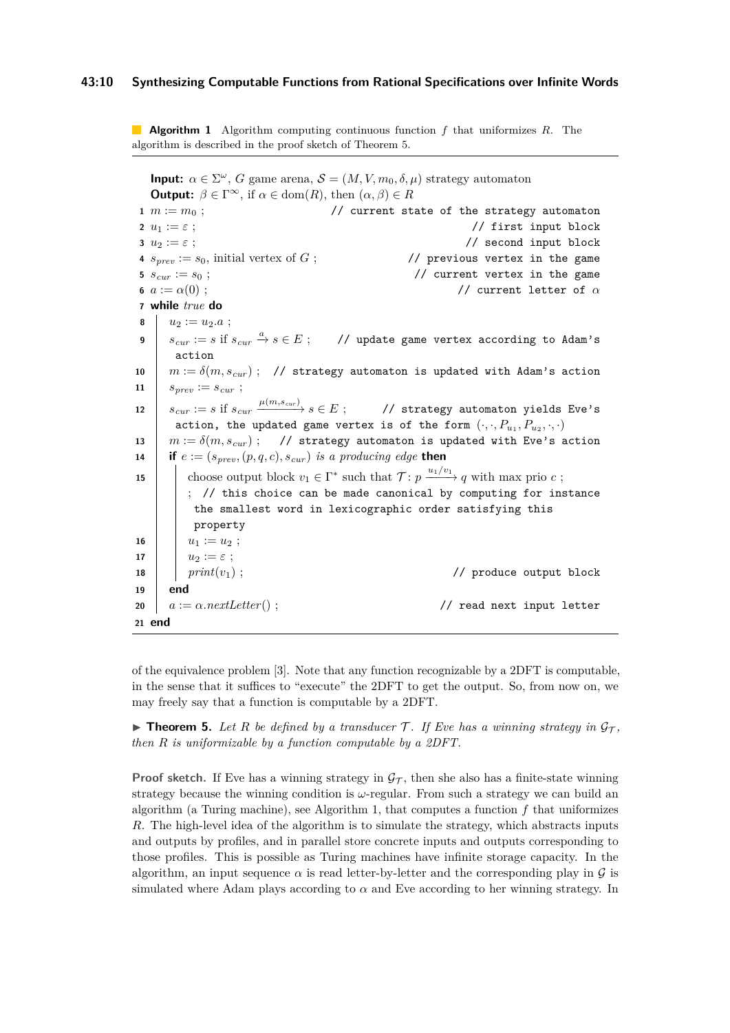**Algorithm 1** Algorithm computing continuous function *f* that uniformizes *R*. The algorithm is described in the proof sketch of Theorem [5.](#page-9-0)

<span id="page-9-1"></span>**Input:**  $\alpha \in \Sigma^{\omega}$ , *G* game arena,  $\mathcal{S} = (M, V, m_0, \delta, \mu)$  strategy automaton **Output:**  $\beta \in \Gamma^\infty$ , if  $\alpha \in \text{dom}(R)$ , then  $(\alpha, \beta) \in R$  $m := m_0$  ;  $/$  current state of the strategy automaton  $u_1 := \varepsilon$ ; // first input block *u*<sup>2</sup> := *ε* ; // second input block  $s_{prev} := s_0$ , initial vertex of *G* ; <br> // previous vertex in the game  $s_{cur} := s_0$ ; // current vertex in the game  $a := \alpha(0)$  ;  $\qquad \qquad$  // current letter of  $\alpha$  **while** *true* **do**  $u_2 := u_2.a$ ; *scur* := *s* if *scur <sup>a</sup>*−→ *s* ∈ *E* ; // update game vertex according to Adam's action  $m := \delta(m, s_{cur})$ ; // strategy automaton is updated with Adam's action  $s_{prev} := s_{cur}$ ;  $s_{cur} := s \text{ if } s_{cur} = \frac{\mu(m, s_{cur})}{m}$ −−−−−−→ *s* ∈ *E* ; // strategy automaton yields Eve's action, the updated game vertex is of the form  $(\cdot, \cdot, P_{u_1}, P_{u_2}, \cdot, \cdot)$   $m := \delta(m, s_{cur})$ ; // strategy automaton is updated with Eve's action **if**  $e := (s_{prev}, (p, q, c), s_{cur})$  *is a producing edge* **then**  choose output block  $v_1 \in \Gamma^*$  such that  $\mathcal{T} : p \xrightarrow{u_1/v_1} q$  with max prio *c*; ; // this choice can be made canonical by computing for instance the smallest word in lexicographic order satisfying this property  $u_1 := u_2$ ;  $u_2 := \varepsilon$ ; *print*(*v*<sub>1</sub>); *//* produce output block **19 end** *a* := *α.nextLetter*() ; // read next input letter **21 end**

of the equivalence problem [\[3\]](#page-14-4). Note that any function recognizable by a 2DFT is computable, in the sense that it suffices to "execute" the 2DFT to get the output. So, from now on, we may freely say that a function is computable by a 2DFT.

<span id="page-9-0"></span> $\triangleright$  **Theorem 5.** Let R be defined by a transducer T. If Eve has a winning strategy in  $\mathcal{G}_T$ , *then R is uniformizable by a function computable by a 2DFT.*

**Proof sketch.** If Eve has a winning strategy in  $\mathcal{G}_{\mathcal{T}}$ , then she also has a finite-state winning strategy because the winning condition is *ω*-regular. From such a strategy we can build an algorithm (a Turing machine), see Algorithm [1,](#page-9-1) that computes a function *f* that uniformizes *R*. The high-level idea of the algorithm is to simulate the strategy, which abstracts inputs and outputs by profiles, and in parallel store concrete inputs and outputs corresponding to those profiles. This is possible as Turing machines have infinite storage capacity. In the algorithm, an input sequence  $\alpha$  is read letter-by-letter and the corresponding play in  $\mathcal G$  is simulated where Adam plays according to  $\alpha$  and Eve according to her winning strategy. In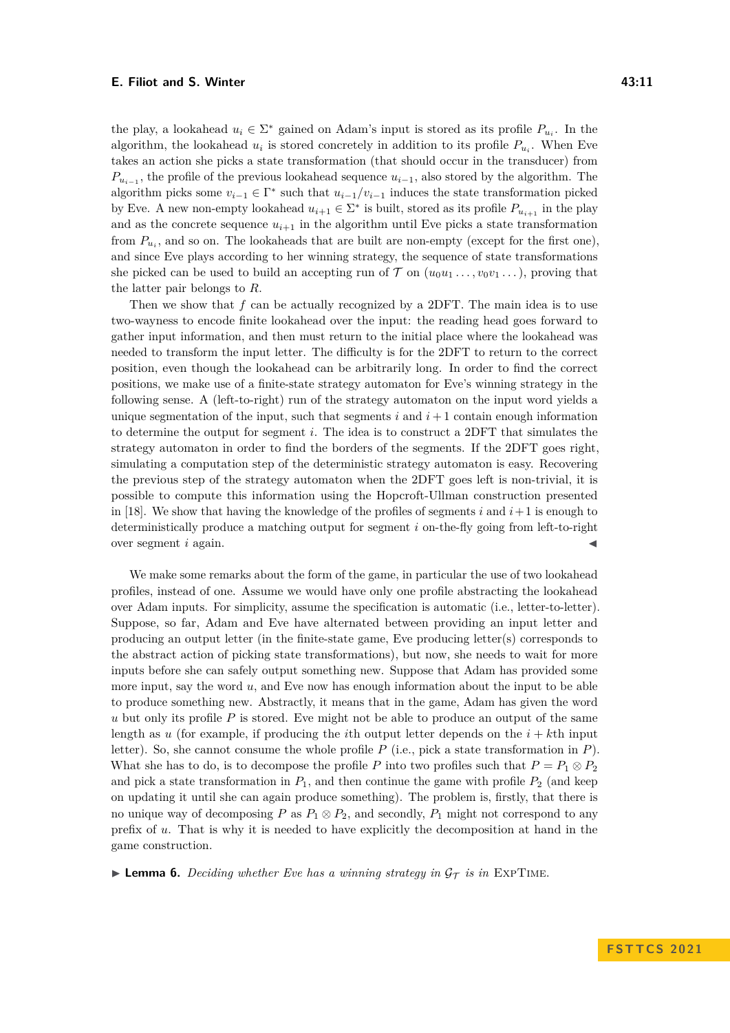the play, a lookahead  $u_i \in \Sigma^*$  gained on Adam's input is stored as its profile  $P_{u_i}$ . In the algorithm, the lookahead  $u_i$  is stored concretely in addition to its profile  $P_{u_i}$ . When Eve takes an action she picks a state transformation (that should occur in the transducer) from  $P_{u_{i-1}}$ , the profile of the previous lookahead sequence  $u_{i-1}$ , also stored by the algorithm. The algorithm picks some  $v_{i-1} \in \Gamma^*$  such that  $u_{i-1}/v_{i-1}$  induces the state transformation picked by Eve. A new non-empty lookahead  $u_{i+1} \in \Sigma^*$  is built, stored as its profile  $P_{u_{i+1}}$  in the play and as the concrete sequence  $u_{i+1}$  in the algorithm until Eve picks a state transformation from  $P_{u_i}$ , and so on. The lookaheads that are built are non-empty (except for the first one), and since Eve plays according to her winning strategy, the sequence of state transformations she picked can be used to build an accepting run of  $\mathcal{T}$  on  $(u_0u_1 \ldots, v_0v_1 \ldots)$ , proving that the latter pair belongs to *R*.

Then we show that *f* can be actually recognized by a 2DFT. The main idea is to use two-wayness to encode finite lookahead over the input: the reading head goes forward to gather input information, and then must return to the initial place where the lookahead was needed to transform the input letter. The difficulty is for the 2DFT to return to the correct position, even though the lookahead can be arbitrarily long. In order to find the correct positions, we make use of a finite-state strategy automaton for Eve's winning strategy in the following sense. A (left-to-right) run of the strategy automaton on the input word yields a unique segmentation of the input, such that segments  $i$  and  $i+1$  contain enough information to determine the output for segment *i*. The idea is to construct a 2DFT that simulates the strategy automaton in order to find the borders of the segments. If the 2DFT goes right, simulating a computation step of the deterministic strategy automaton is easy. Recovering the previous step of the strategy automaton when the 2DFT goes left is non-trivial, it is possible to compute this information using the Hopcroft-Ullman construction presented in [\[18\]](#page-15-18). We show that having the knowledge of the profiles of segments  $i$  and  $i+1$  is enough to deterministically produce a matching output for segment *i* on-the-fly going from left-to-right over segment  $i$  again.

We make some remarks about the form of the game, in particular the use of two lookahead profiles, instead of one. Assume we would have only one profile abstracting the lookahead over Adam inputs. For simplicity, assume the specification is automatic (i.e., letter-to-letter). Suppose, so far, Adam and Eve have alternated between providing an input letter and producing an output letter (in the finite-state game, Eve producing letter(s) corresponds to the abstract action of picking state transformations), but now, she needs to wait for more inputs before she can safely output something new. Suppose that Adam has provided some more input, say the word *u*, and Eve now has enough information about the input to be able to produce something new. Abstractly, it means that in the game, Adam has given the word *u* but only its profile *P* is stored. Eve might not be able to produce an output of the same length as *u* (for example, if producing the *i*th output letter depends on the  $i + k$ th input letter). So, she cannot consume the whole profile *P* (i.e., pick a state transformation in *P*). What she has to do, is to decompose the profile *P* into two profiles such that  $P = P_1 \otimes P_2$ and pick a state transformation in  $P_1$ , and then continue the game with profile  $P_2$  (and keep on updating it until she can again produce something). The problem is, firstly, that there is no unique way of decomposing *P* as  $P_1 \otimes P_2$ , and secondly,  $P_1$  might not correspond to any prefix of *u*. That is why it is needed to have explicitly the decomposition at hand in the game construction.

<span id="page-10-0"></span>**• Lemma 6.** Deciding whether Eve has a winning strategy in  $\mathcal{G}_{\mathcal{T}}$  is in EXPTIME.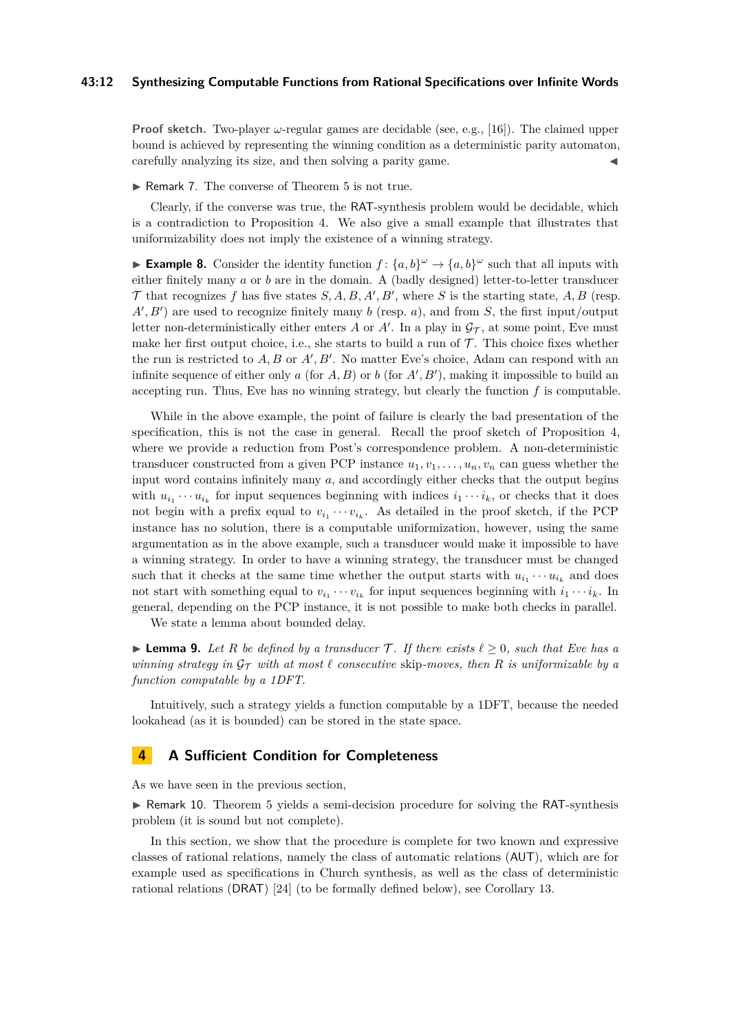### **43:12 Synthesizing Computable Functions from Rational Specifications over Infinite Words**

**Proof sketch.** Two-player *ω*-regular games are decidable (see, e.g., [\[16\]](#page-15-19)). The claimed upper bound is achieved by representing the winning condition as a deterministic parity automaton, carefully analyzing its size, and then solving a parity game.

▶ Remark 7. The converse of Theorem [5](#page-9-0) is not true.

Clearly, if the converse was true, the RAT-synthesis problem would be decidable, which is a contradiction to Proposition [4.](#page-6-0) We also give a small example that illustrates that uniformizability does not imply the existence of a winning strategy.

**Example 8.** Consider the identity function  $f: \{a, b\}^{\omega} \to \{a, b\}^{\omega}$  such that all inputs with either finitely many *a* or *b* are in the domain. A (badly designed) letter-to-letter transducer  $\mathcal T$  that recognizes  $f$  has five states  $S, A, B, A', B'$ , where  $S$  is the starting state,  $A, B$  (resp.  $A', B'$  are used to recognize finitely many *b* (resp. *a*), and from *S*, the first input/output letter non-deterministically either enters *A* or *A'*. In a play in  $\mathcal{G}_{\mathcal{T}}$ , at some point, Eve must make her first output choice, i.e., she starts to build a run of  $\mathcal T$ . This choice fixes whether the run is restricted to  $A, B$  or  $A', B'$ . No matter Eve's choice, Adam can respond with an infinite sequence of either only  $a$  (for  $A, B$ ) or  $b$  (for  $A', B'$ ), making it impossible to build an accepting run. Thus, Eve has no winning strategy, but clearly the function *f* is computable.

While in the above example, the point of failure is clearly the bad presentation of the specification, this is not the case in general. Recall the proof sketch of Proposition [4,](#page-6-0) where we provide a reduction from Post's correspondence problem. A non-deterministic transducer constructed from a given PCP instance  $u_1, v_1, \ldots, u_n, v_n$  can guess whether the input word contains infinitely many *a*, and accordingly either checks that the output begins with  $u_{i_1} \cdots u_{i_k}$  for input sequences beginning with indices  $i_1 \cdots i_k$ , or checks that it does not begin with a prefix equal to  $v_{i_1} \cdots v_{i_k}$ . As detailed in the proof sketch, if the PCP instance has no solution, there is a computable uniformization, however, using the same argumentation as in the above example, such a transducer would make it impossible to have a winning strategy. In order to have a winning strategy, the transducer must be changed such that it checks at the same time whether the output starts with  $u_{i_1} \cdots u_{i_k}$  and does not start with something equal to  $v_{i_1} \cdots v_{i_k}$  for input sequences beginning with  $i_1 \cdots i_k$ . In general, depending on the PCP instance, it is not possible to make both checks in parallel.

We state a lemma about bounded delay.

 $\blacktriangleright$  **Lemma 9.** Let R be defined by a transducer T. If there exists  $\ell \geq 0$ , such that Eve has a *winning strategy in*  $\mathcal{G}_{\mathcal{T}}$  *with at most*  $\ell$  *consecutive* skip-moves, then  $R$  *is uniformizable by a function computable by a 1DFT.*

Intuitively, such a strategy yields a function computable by a 1DFT, because the needed lookahead (as it is bounded) can be stored in the state space.

## <span id="page-11-0"></span>**4 A Sufficient Condition for Completeness**

As we have seen in the previous section,

 $\triangleright$  Remark 10. Theorem [5](#page-9-0) yields a semi-decision procedure for solving the RAT-synthesis problem (it is sound but not complete).

In this section, we show that the procedure is complete for two known and expressive classes of rational relations, namely the class of automatic relations (AUT), which are for example used as specifications in Church synthesis, as well as the class of deterministic rational relations (DRAT) [\[24\]](#page-15-6) (to be formally defined below), see Corollary [13.](#page-13-0)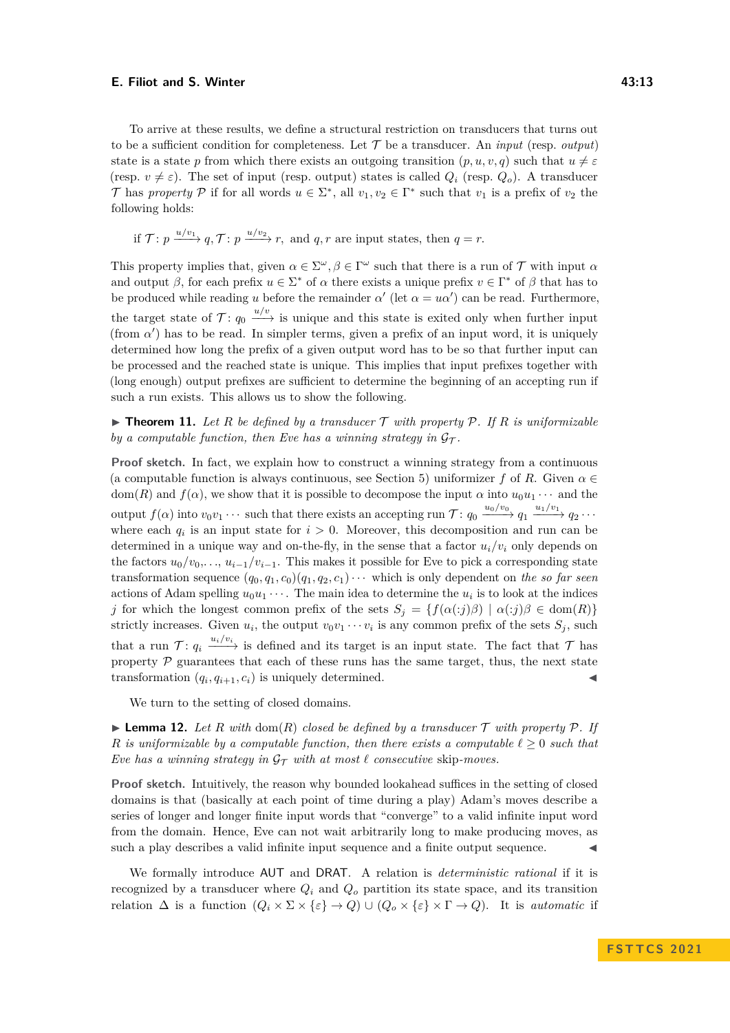To arrive at these results, we define a structural restriction on transducers that turns out to be a sufficient condition for completeness. Let  $\mathcal T$  be a transducer. An *input* (resp. *output*) state is a state *p* from which there exists an outgoing transition  $(p, u, v, q)$  such that  $u \neq \varepsilon$ (resp.  $v \neq \varepsilon$ ). The set of input (resp. output) states is called  $Q_i$  (resp.  $Q_o$ ). A transducer T has *property* P if for all words  $u \in \Sigma^*$ , all  $v_1, v_2 \in \Gamma^*$  such that  $v_1$  is a prefix of  $v_2$  the following holds:

if 
$$
\mathcal{T}: p \xrightarrow{u/v_1} q
$$
,  $\mathcal{T}: p \xrightarrow{u/v_2} r$ , and  $q, r$  are input states, then  $q = r$ .

This property implies that, given  $\alpha \in \Sigma^{\omega}, \beta \in \Gamma^{\omega}$  such that there is a run of  $\mathcal T$  with input  $\alpha$ and output *β*, for each prefix  $u \in \Sigma^*$  of  $\alpha$  there exists a unique prefix  $v \in \Gamma^*$  of  $\beta$  that has to be produced while reading *u* before the remainder  $\alpha'$  (let  $\alpha = u\alpha'$ ) can be read. Furthermore, the target state of  $\mathcal{T}: q_0 \xrightarrow{u/v}$  is unique and this state is exited only when further input (from  $\alpha'$ ) has to be read. In simpler terms, given a prefix of an input word, it is uniquely determined how long the prefix of a given output word has to be so that further input can be processed and the reached state is unique. This implies that input prefixes together with (long enough) output prefixes are sufficient to determine the beginning of an accepting run if such a run exists. This allows us to show the following.

<span id="page-12-0"></span> $\triangleright$  **Theorem 11.** Let R be defined by a transducer T with property P. If R is uniformizable *by a computable function, then Eve has a winning strategy in*  $\mathcal{G}_{\tau}$ .

**Proof sketch.** In fact, we explain how to construct a winning strategy from a continuous (a computable function is always continuous, see Section [5\)](#page-13-1) uniformizer *f* of *R*. Given  $\alpha \in$ dom(*R*) and  $f(\alpha)$ , we show that it is possible to decompose the input  $\alpha$  into  $u_0u_1 \cdots$  and the output  $f(\alpha)$  into  $v_0v_1 \cdots$  such that there exists an accepting run  $\mathcal{T}: q_0 \xrightarrow{u_0/v_0} q_1 \xrightarrow{u_1/v_1} q_2 \cdots$ where each  $q_i$  is an input state for  $i > 0$ . Moreover, this decomposition and run can be determined in a unique way and on-the-fly, in the sense that a factor  $u_i/v_i$  only depends on the factors  $u_0/v_0, \ldots, u_{i-1}/v_{i-1}$ . This makes it possible for Eve to pick a corresponding state transformation sequence  $(q_0, q_1, c_0)(q_1, q_2, c_1) \cdots$  which is only dependent on the so far seen actions of Adam spelling  $u_0u_1 \cdots$ . The main idea to determine the  $u_i$  is to look at the indices *j* for which the longest common prefix of the sets  $S_j = \{f(\alpha(:,j)\beta) | \alpha(:,j)\beta \in \text{dom}(R)\}\$ strictly increases. Given  $u_i$ , the output  $v_0v_1 \cdots v_i$  is any common prefix of the sets  $S_j$ , such that a run  $\mathcal{T}: q_i \xrightarrow{u_i/v_i}$  is defined and its target is an input state. The fact that  $\mathcal{T}$  has property  $P$  guarantees that each of these runs has the same target, thus, the next state transformation  $(q_i, q_{i+1}, c_i)$  is uniquely determined.

We turn to the setting of closed domains.

 $\blacktriangleright$  **Lemma 12.** Let R with dom(R) closed be defined by a transducer  $\mathcal T$  with property  $\mathcal P$ . If *R* is uniformizable by a computable function, then there exists a computable  $\ell \geq 0$  such that *Eve has a winning strategy in*  $\mathcal{G}_{\mathcal{T}}$  *with at most*  $\ell$  *consecutive* skip-*moves.* 

**Proof sketch.** Intuitively, the reason why bounded lookahead suffices in the setting of closed domains is that (basically at each point of time during a play) Adam's moves describe a series of longer and longer finite input words that "converge" to a valid infinite input word from the domain. Hence, Eve can not wait arbitrarily long to make producing moves, as such a play describes a valid infinite input sequence and a finite output sequence.

We formally introduce AUT and DRAT. A relation is *deterministic rational* if it is recognized by a transducer where  $Q_i$  and  $Q_o$  partition its state space, and its transition relation  $\Delta$  is a function  $(Q_i \times \Sigma \times {\{\varepsilon\}} \to Q) \cup (Q_o \times {\{\varepsilon\}} \times \Gamma \to Q)$ . It is *automatic* if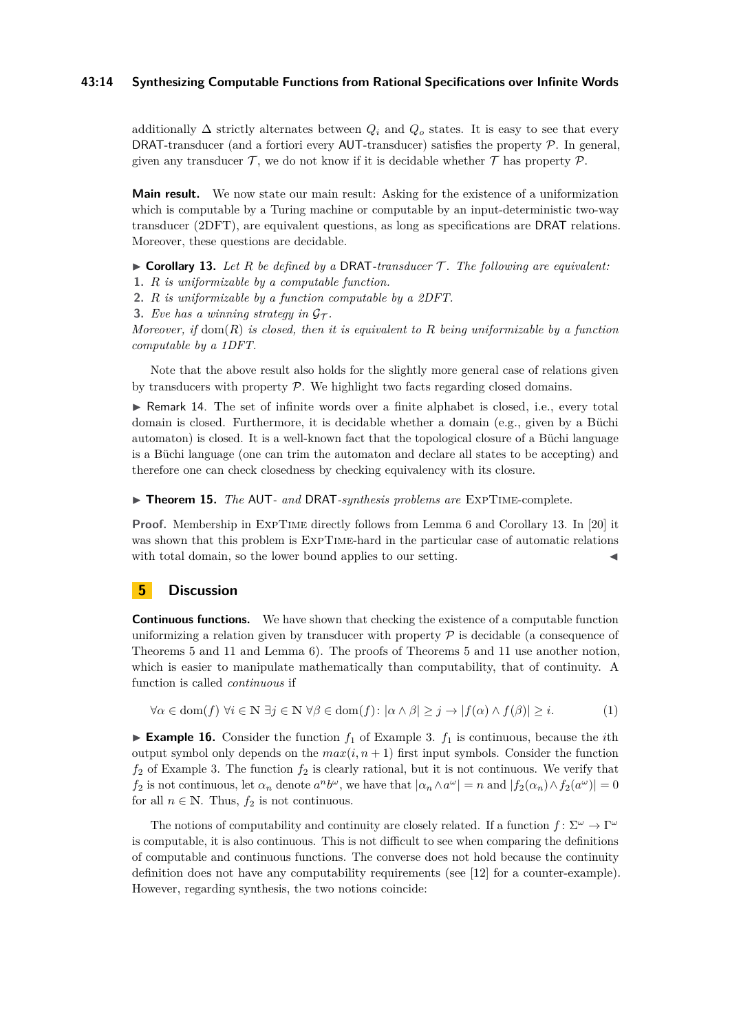## **43:14 Synthesizing Computable Functions from Rational Specifications over Infinite Words**

additionally  $\Delta$  strictly alternates between  $Q_i$  and  $Q_o$  states. It is easy to see that every DRAT-transducer (and a fortiori every AUT-transducer) satisfies the property  $P$ . In general, given any transducer  $\mathcal T$ , we do not know if it is decidable whether  $\mathcal T$  has property  $\mathcal P$ .

**Main result.** We now state our main result: Asking for the existence of a uniformization which is computable by a Turing machine or computable by an input-deterministic two-way transducer (2DFT), are equivalent questions, as long as specifications are DRAT relations. Moreover, these questions are decidable.

<span id="page-13-0"></span> $\triangleright$  **Corollary 13.** Let R be defined by a DRAT-transducer T. The following are equivalent:

**1.** *R is uniformizable by a computable function.*

**2.** *R is uniformizable by a function computable by a 2DFT.*

**3.** *Eve has a winning strategy in*  $\mathcal{G}_{\mathcal{T}}$ *.* 

*Moreover, if* dom(*R*) *is closed, then it is equivalent to R being uniformizable by a function computable by a 1DFT.*

Note that the above result also holds for the slightly more general case of relations given by transducers with property  $P$ . We highlight two facts regarding closed domains.

▶ Remark 14. The set of infinite words over a finite alphabet is closed, i.e., every total domain is closed. Furthermore, it is decidable whether a domain (e.g., given by a Büchi automaton) is closed. It is a well-known fact that the topological closure of a Büchi language is a Büchi language (one can trim the automaton and declare all states to be accepting) and therefore one can check closedness by checking equivalency with its closure.

▶ **Theorem 15.** *The* AUT*- and* DRAT*-synthesis problems are* ExpTime-complete.

**Proof.** Membership in ExpTime directly follows from Lemma [6](#page-10-0) and Corollary [13.](#page-13-0) In [\[20\]](#page-15-17) it was shown that this problem is ExpTime-hard in the particular case of automatic relations with total domain, so the lower bound applies to our setting.

# <span id="page-13-1"></span>**5 Discussion**

**Continuous functions.** We have shown that checking the existence of a computable function uniformizing a relation given by transducer with property  $P$  is decidable (a consequence of Theorems [5](#page-9-0) and [11](#page-12-0) and Lemma [6\)](#page-10-0). The proofs of Theorems [5](#page-9-0) and [11](#page-12-0) use another notion, which is easier to manipulate mathematically than computability, that of continuity. A function is called *continuous* if

$$
\forall \alpha \in \text{dom}(f) \,\,\forall i \in \mathbb{N} \,\,\exists j \in \mathbb{N} \,\,\forall \beta \in \text{dom}(f) : |\alpha \wedge \beta| \geq j \rightarrow |f(\alpha) \wedge f(\beta)| \geq i. \tag{1}
$$

 $\blacktriangleright$  **Example 16.** Consider the function  $f_1$  of Example [3.](#page-5-1)  $f_1$  is continuous, because the *i*th output symbol only depends on the  $max(i, n + 1)$  first input symbols. Consider the function  $f_2$  of Example [3.](#page-5-1) The function  $f_2$  is clearly rational, but it is not continuous. We verify that *f*<sub>2</sub> is not continuous, let  $\alpha_n$  denote  $a^n b^\omega$ , we have that  $|\alpha_n \wedge a^\omega| = n$  and  $|f_2(\alpha_n) \wedge f_2(a^\omega)| = 0$ for all  $n \in \mathbb{N}$ . Thus,  $f_2$  is not continuous.

The notions of computability and continuity are closely related. If a function  $f: \Sigma^{\omega} \to \Gamma^{\omega}$ is computable, it is also continuous. This is not difficult to see when comparing the definitions of computable and continuous functions. The converse does not hold because the continuity definition does not have any computability requirements (see [\[12\]](#page-15-14) for a counter-example). However, regarding synthesis, the two notions coincide: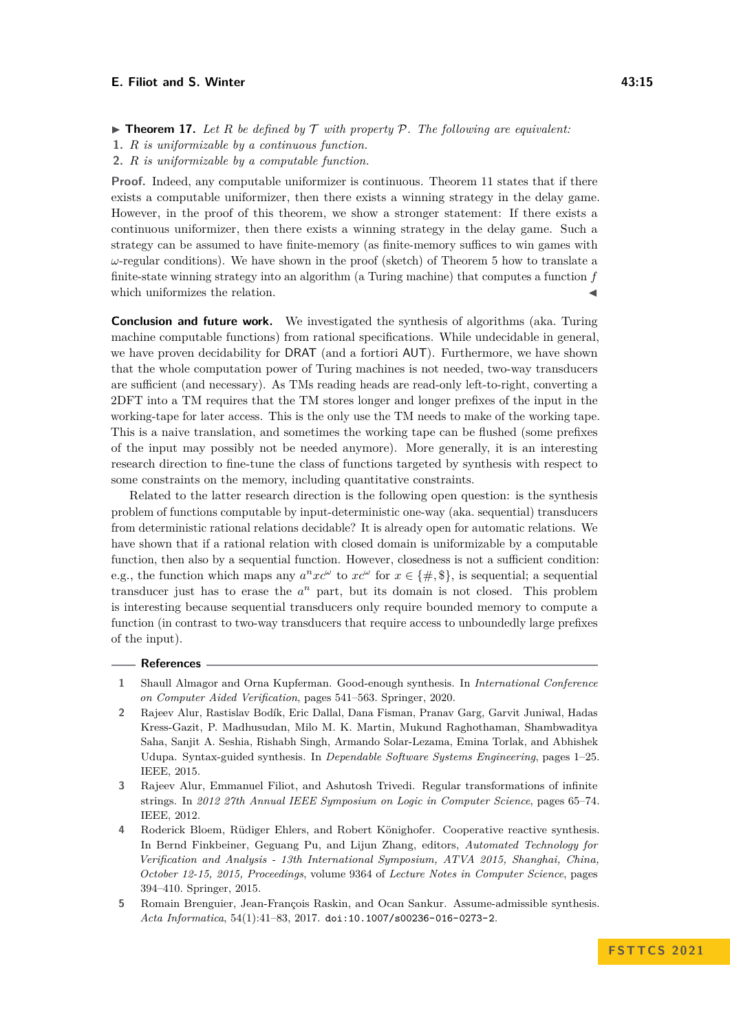- $\triangleright$  **Theorem 17.** Let R be defined by T with property P. The following are equivalent:
- **1.** *R is uniformizable by a continuous function.*
- **2.** *R is uniformizable by a computable function.*

**Proof.** Indeed, any computable uniformizer is continuous. Theorem [11](#page-12-0) states that if there exists a computable uniformizer, then there exists a winning strategy in the delay game. However, in the proof of this theorem, we show a stronger statement: If there exists a continuous uniformizer, then there exists a winning strategy in the delay game. Such a strategy can be assumed to have finite-memory (as finite-memory suffices to win games with *ω*-regular conditions). We have shown in the proof (sketch) of Theorem [5](#page-9-0) how to translate a finite-state winning strategy into an algorithm (a Turing machine) that computes a function *f* which uniformizes the relation.

**Conclusion and future work.** We investigated the synthesis of algorithms (aka. Turing machine computable functions) from rational specifications. While undecidable in general, we have proven decidability for DRAT (and a fortiori AUT). Furthermore, we have shown that the whole computation power of Turing machines is not needed, two-way transducers are sufficient (and necessary). As TMs reading heads are read-only left-to-right, converting a 2DFT into a TM requires that the TM stores longer and longer prefixes of the input in the working-tape for later access. This is the only use the TM needs to make of the working tape. This is a naive translation, and sometimes the working tape can be flushed (some prefixes of the input may possibly not be needed anymore). More generally, it is an interesting research direction to fine-tune the class of functions targeted by synthesis with respect to some constraints on the memory, including quantitative constraints.

Related to the latter research direction is the following open question: is the synthesis problem of functions computable by input-deterministic one-way (aka. sequential) transducers from deterministic rational relations decidable? It is already open for automatic relations. We have shown that if a rational relation with closed domain is uniformizable by a computable function, then also by a sequential function. However, closedness is not a sufficient condition: e.g., the function which maps any  $a^n x c^{\omega}$  to  $x c^{\omega}$  for  $x \in \{\#, \$\},\$  is sequential; a sequential transducer just has to erase the  $a^n$  part, but its domain is not closed. This problem is interesting because sequential transducers only require bounded memory to compute a function (in contrast to two-way transducers that require access to unboundedly large prefixes of the input).

### **References**

- <span id="page-14-1"></span>**1** Shaull Almagor and Orna Kupferman. Good-enough synthesis. In *International Conference on Computer Aided Verification*, pages 541–563. Springer, 2020.
- <span id="page-14-0"></span>**2** Rajeev Alur, Rastislav Bodík, Eric Dallal, Dana Fisman, Pranav Garg, Garvit Juniwal, Hadas Kress-Gazit, P. Madhusudan, Milo M. K. Martin, Mukund Raghothaman, Shambwaditya Saha, Sanjit A. Seshia, Rishabh Singh, Armando Solar-Lezama, Emina Torlak, and Abhishek Udupa. Syntax-guided synthesis. In *Dependable Software Systems Engineering*, pages 1–25. IEEE, 2015.
- <span id="page-14-4"></span>**3** Rajeev Alur, Emmanuel Filiot, and Ashutosh Trivedi. Regular transformations of infinite strings. In *2012 27th Annual IEEE Symposium on Logic in Computer Science*, pages 65–74. IEEE, 2012.
- <span id="page-14-2"></span>**4** Roderick Bloem, Rüdiger Ehlers, and Robert Könighofer. Cooperative reactive synthesis. In Bernd Finkbeiner, Geguang Pu, and Lijun Zhang, editors, *Automated Technology for Verification and Analysis - 13th International Symposium, ATVA 2015, Shanghai, China, October 12-15, 2015, Proceedings*, volume 9364 of *Lecture Notes in Computer Science*, pages 394–410. Springer, 2015.
- <span id="page-14-3"></span>**5** Romain Brenguier, Jean-François Raskin, and Ocan Sankur. Assume-admissible synthesis. *Acta Informatica*, 54(1):41–83, 2017. [doi:10.1007/s00236-016-0273-2](https://doi.org/10.1007/s00236-016-0273-2).